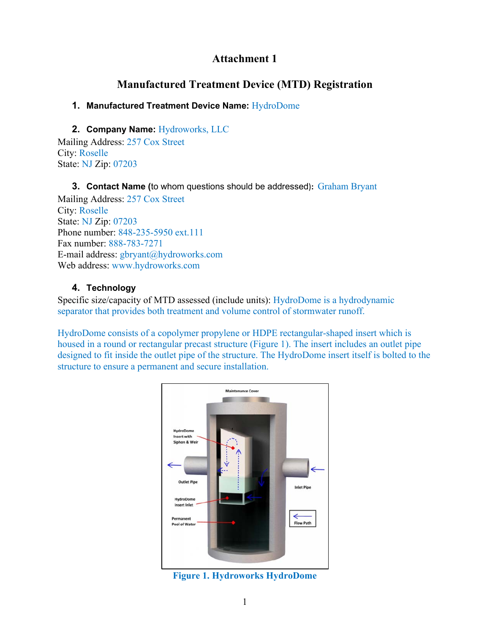# **Attachment 1**

# **Manufactured Treatment Device (MTD) Registration**

## **1. Manufactured Treatment Device Name:** HydroDome

## **2. Company Name:** Hydroworks, LLC

Mailing Address: 257 Cox Street City: Roselle State: NJ Zip: 07203

#### **3. Contact Name (**to whom questions should be addressed)**:** Graham Bryant

Mailing Address: 257 Cox Street City: Roselle State: NJ Zip: 07203 Phone number: 848-235-5950 ext.111 Fax number: 888-783-7271 E-mail address: gbryant@hydroworks.com Web address: www.hydroworks.com

## **4. Technology**

Specific size/capacity of MTD assessed (include units): HydroDome is a hydrodynamic separator that provides both treatment and volume control of stormwater runoff.

HydroDome consists of a copolymer propylene or HDPE rectangular-shaped insert which is housed in a round or rectangular precast structure (Figure 1). The insert includes an outlet pipe designed to fit inside the outlet pipe of the structure. The HydroDome insert itself is bolted to the structure to ensure a permanent and secure installation.



**Figure 1. Hydroworks HydroDome**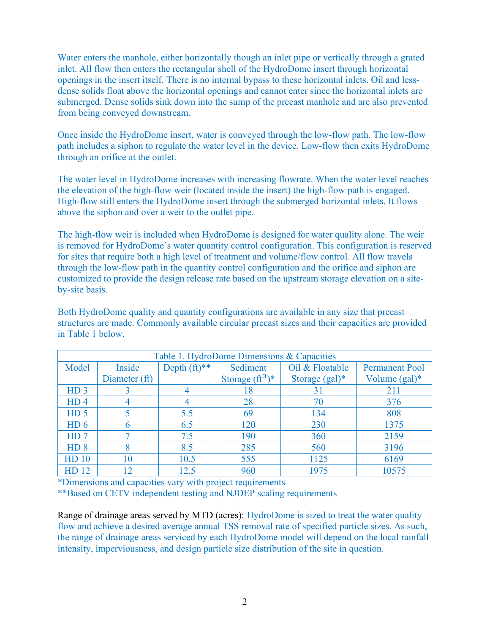Water enters the manhole, either horizontally though an inlet pipe or vertically through a grated inlet. All flow then enters the rectangular shell of the HydroDome insert through horizontal openings in the insert itself. There is no internal bypass to these horizontal inlets. Oil and lessdense solids float above the horizontal openings and cannot enter since the horizontal inlets are submerged. Dense solids sink down into the sump of the precast manhole and are also prevented from being conveyed downstream.

Once inside the HydroDome insert, water is conveyed through the low-flow path. The low-flow path includes a siphon to regulate the water level in the device. Low-flow then exits HydroDome through an orifice at the outlet.

The water level in HydroDome increases with increasing flowrate. When the water level reaches the elevation of the high-flow weir (located inside the insert) the high-flow path is engaged. High-flow still enters the HydroDome insert through the submerged horizontal inlets. It flows above the siphon and over a weir to the outlet pipe.

The high-flow weir is included when HydroDome is designed for water quality alone. The weir is removed for HydroDome's water quantity control configuration. This configuration is reserved for sites that require both a high level of treatment and volume/flow control. All flow travels through the low-flow path in the quantity control configuration and the orifice and siphon are customized to provide the design release rate based on the upstream storage elevation on a siteby-site basis.

Both HydroDome quality and quantity configurations are available in any size that precast structures are made. Commonly available circular precast sizes and their capacities are provided in Table 1 below.

| Table 1. HydroDome Dimensions & Capacities |               |                 |                    |                                          |                  |
|--------------------------------------------|---------------|-----------------|--------------------|------------------------------------------|------------------|
| Model                                      | Inside        | Depth $(ft)$ ** | Sediment           | Oil & Floatable<br><b>Permanent Pool</b> |                  |
|                                            | Diameter (ft) |                 | Storage $(ft^3)^*$ | Storage $(gal)^*$                        | Volume $(gal)^*$ |
| HD <sub>3</sub>                            |               |                 | 18                 | 31                                       | 211              |
| HD <sub>4</sub>                            |               |                 | 28                 | 70                                       | 376              |
| HD <sub>5</sub>                            |               | 5.5             | 69                 | 134                                      | 808              |
| HD <sub>6</sub>                            |               | 6.5             | 120                | 230                                      | 1375             |
| HD <sub>7</sub>                            |               | 7.5             | 190                | 360                                      | 2159             |
| HD <sub>8</sub>                            |               | 8.5             | 285                | 560                                      | 3196             |
| <b>HD</b> 10                               | 10            | 10.5            | 555                | 1125                                     | 6169             |
| HD 12                                      | 12            | 12.5            | 960                | 1975                                     | 10575            |

\*Dimensions and capacities vary with project requirements

\*\*Based on CETV independent testing and NJDEP scaling requirements

Range of drainage areas served by MTD (acres): HydroDome is sized to treat the water quality flow and achieve a desired average annual TSS removal rate of specified particle sizes. As such, the range of drainage areas serviced by each HydroDome model will depend on the local rainfall intensity, imperviousness, and design particle size distribution of the site in question.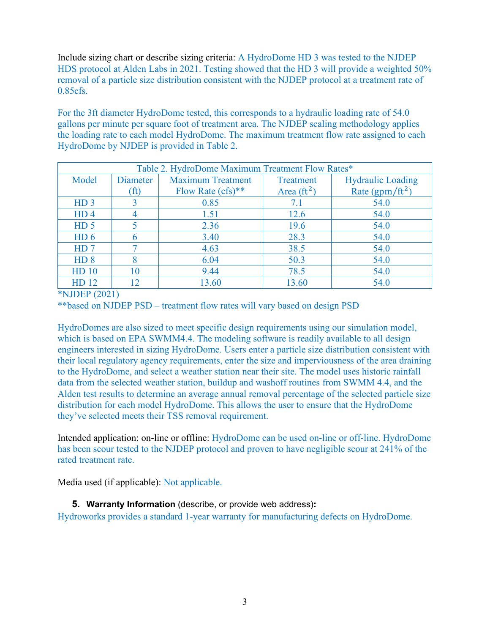Include sizing chart or describe sizing criteria: A HydroDome HD 3 was tested to the NJDEP HDS protocol at Alden Labs in 2021. Testing showed that the HD 3 will provide a weighted 50% removal of a particle size distribution consistent with the NJDEP protocol at a treatment rate of 0.85cfs.

For the 3ft diameter HydroDome tested, this corresponds to a hydraulic loading rate of 54.0 gallons per minute per square foot of treatment area. The NJDEP scaling methodology applies the loading rate to each model HydroDome. The maximum treatment flow rate assigned to each HydroDome by NJDEP is provided in Table 2.

| Table 2. HydroDome Maximum Treatment Flow Rates* |                 |                          |                     |                             |
|--------------------------------------------------|-----------------|--------------------------|---------------------|-----------------------------|
| Model                                            | Diameter        | <b>Maximum Treatment</b> | Treatment           | <b>Hydraulic Loading</b>    |
|                                                  | $(f\mathbf{t})$ | Flow Rate $(cfs)$ **     | Area $({\rm ft}^2)$ | Rate (gpm/ft <sup>2</sup> ) |
| HD <sub>3</sub>                                  |                 | 0.85                     | 7.1                 | 54.0                        |
| HD <sub>4</sub>                                  |                 | 1.51                     | 12.6                | 54.0                        |
| HD <sub>5</sub>                                  |                 | 2.36                     | 19.6                | 54.0                        |
| HD <sub>6</sub>                                  |                 | 3.40                     | 28.3                | 54.0                        |
| HD <sub>7</sub>                                  |                 | 4.63                     | 38.5                | 54.0                        |
| HD <sub>8</sub>                                  |                 | 6.04                     | 50.3                | 54.0                        |
| HD <sub>10</sub>                                 | 10              | 9.44                     | 78.5                | 54.0                        |
| HD 12                                            |                 | 13.60                    | 13.60               | 54.0                        |

\*NJDEP (2021)

\*\*based on NJDEP PSD – treatment flow rates will vary based on design PSD

HydroDomes are also sized to meet specific design requirements using our simulation model, which is based on EPA SWMM4.4. The modeling software is readily available to all design engineers interested in sizing HydroDome. Users enter a particle size distribution consistent with their local regulatory agency requirements, enter the size and imperviousness of the area draining to the HydroDome, and select a weather station near their site. The model uses historic rainfall data from the selected weather station, buildup and washoff routines from SWMM 4.4, and the Alden test results to determine an average annual removal percentage of the selected particle size distribution for each model HydroDome. This allows the user to ensure that the HydroDome they've selected meets their TSS removal requirement.

Intended application: on-line or offline: HydroDome can be used on-line or off-line. HydroDome has been scour tested to the NJDEP protocol and proven to have negligible scour at 241% of the rated treatment rate.

Media used (if applicable): Not applicable.

## **5. Warranty Information** (describe, or provide web address)**:**

Hydroworks provides a standard 1-year warranty for manufacturing defects on HydroDome.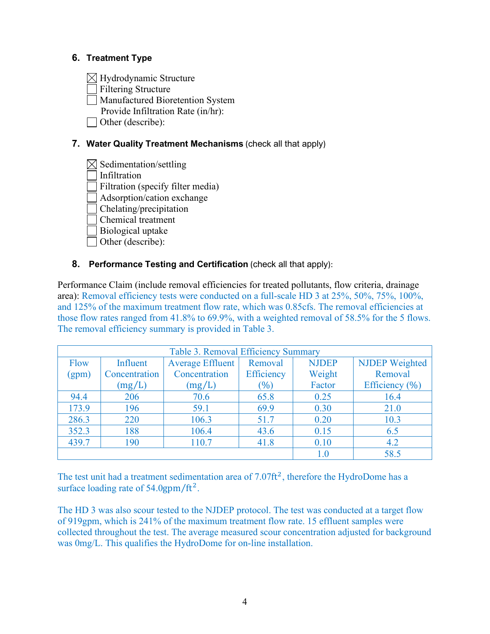### **6. Treatment Type**

 $\boxtimes$  Hydrodynamic Structure

Filtering Structure

Manufactured Bioretention System

Provide Infiltration Rate (in/hr):

Other (describe):

## **7. Water Quality Treatment Mechanisms** (check all that apply)

 $\boxtimes$  Sedimentation/settling

Infiltration

Filtration (specify filter media)

Adsorption/cation exchange

Chelating/precipitation

Chemical treatment

Biological uptake

Other (describe):

### **8. Performance Testing and Certification** (check all that apply):

Performance Claim (include removal efficiencies for treated pollutants, flow criteria, drainage area): Removal efficiency tests were conducted on a full-scale HD 3 at 25%, 50%, 75%, 100%, and 125% of the maximum treatment flow rate, which was 0.85cfs. The removal efficiencies at those flow rates ranged from 41.8% to 69.9%, with a weighted removal of 58.5% for the 5 flows. The removal efficiency summary is provided in Table 3.

| Table 3. Removal Efficiency Summary |               |                                    |            |              |                       |
|-------------------------------------|---------------|------------------------------------|------------|--------------|-----------------------|
| <b>Flow</b>                         | Influent      | <b>Average Effluent</b><br>Removal |            | <b>NJDEP</b> | <b>NJDEP</b> Weighted |
| (gpm)                               | Concentration | Concentration                      | Efficiency | Weight       | Removal               |
|                                     | (mg/L)        | (mg/L)                             | $(\% )$    | Factor       | Efficiency $(\% )$    |
| 94.4                                | 206           | 70.6                               | 65.8       | 0.25         | 16.4                  |
| 173.9                               | 196           | 59.1                               | 69.9       | 0.30         | 21.0                  |
| 286.3                               | 220           | 106.3                              | 51.7       | 0.20         | 10.3                  |
| 352.3                               | 188           | 106.4                              | 43.6       | 0.15         | 6.5                   |
| 439.7                               | 190           | 110.7                              | 41.8       | 0.10         | 4.2                   |
|                                     |               |                                    |            | $1.0\,$      | 58.5                  |

The test unit had a treatment sedimentation area of  $7.07 \text{ft}^2$ , therefore the HydroDome has a surface loading rate of  $54.0$ gpm/ft<sup>2</sup>.

The HD 3 was also scour tested to the NJDEP protocol. The test was conducted at a target flow of 919gpm, which is 241% of the maximum treatment flow rate. 15 effluent samples were collected throughout the test. The average measured scour concentration adjusted for background was 0mg/L. This qualifies the HydroDome for on-line installation.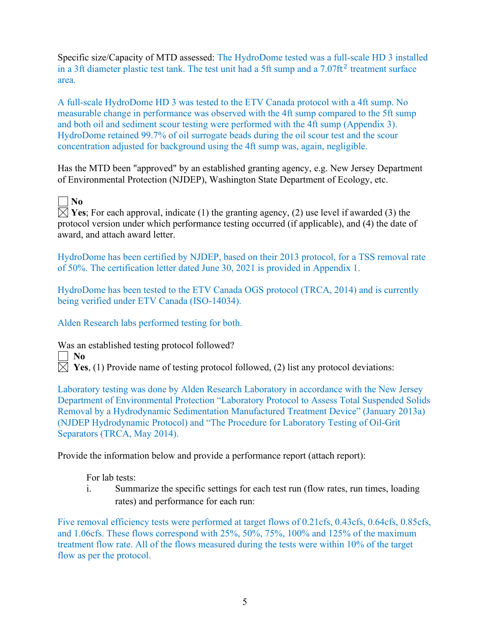Specific size/Capacity of MTD assessed: The HydroDome tested was a full-scale HD 3 installed in a 3ft diameter plastic test tank. The test unit had a 5ft sump and a  $7.07 \text{ft}^2$  treatment surface area.

A full-scale HydroDome HD 3 was tested to the ETV Canada protocol with a 4ft sump. No measurable change in performance was observed with the 4ft sump compared to the 5ft sump and both oil and sediment scour testing were performed with the 4ft sump (Appendix 3). HydroDome retained 99.7% of oil surrogate beads during the oil scour test and the scour concentration adjusted for background using the 4ft sump was, again, negligible.

Has the MTD been "approved" by an established granting agency, e.g. New Jersey Department of Environmental Protection (NJDEP), Washington State Department of Ecology, etc.

**No**

 $\boxtimes$  **Yes**; For each approval, indicate (1) the granting agency, (2) use level if awarded (3) the protocol version under which performance testing occurred (if applicable), and (4) the date of award, and attach award letter.

HydroDome has been certified by NJDEP, based on their 2013 protocol, for a TSS removal rate of 50%. The certification letter dated June 30, 2021 is provided in Appendix 1.

HydroDome has been tested to the ETV Canada OGS protocol (TRCA, 2014) and is currently being verified under ETV Canada (ISO-14034).

Alden Research labs performed testing for both.

Was an established testing protocol followed?

 $\Box$  No

 $\boxtimes$  **Yes**, (1) Provide name of testing protocol followed, (2) list any protocol deviations:

Laboratory testing was done by Alden Research Laboratory in accordance with the New Jersey Department of Environmental Protection "Laboratory Protocol to Assess Total Suspended Solids Removal by a Hydrodynamic Sedimentation Manufactured Treatment Device" (January 2013a) (NJDEP Hydrodynamic Protocol) and "The Procedure for Laboratory Testing of Oil-Grit Separators (TRCA, May 2014).

Provide the information below and provide a performance report (attach report):

For lab tests:

i. Summarize the specific settings for each test run (flow rates, run times, loading rates) and performance for each run:

Five removal efficiency tests were performed at target flows of 0.21cfs, 0.43cfs, 0.64cfs, 0.85cfs, and 1.06cfs. These flows correspond with 25%, 50%, 75%, 100% and 125% of the maximum treatment flow rate. All of the flows measured during the tests were within 10% of the target flow as per the protocol.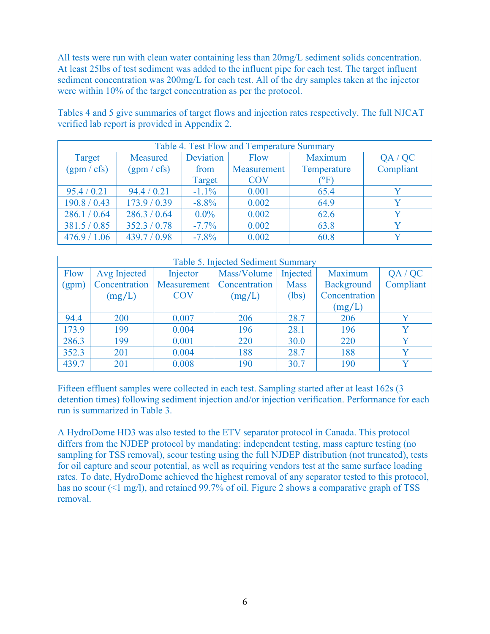All tests were run with clean water containing less than 20mg/L sediment solids concentration. At least 25lbs of test sediment was added to the influent pipe for each test. The target influent sediment concentration was 200mg/L for each test. All of the dry samples taken at the injector were within 10% of the target concentration as per the protocol.

| Table 4. Test Flow and Temperature Summary |              |           |             |                  |           |
|--------------------------------------------|--------------|-----------|-------------|------------------|-----------|
| Target                                     | Measured     | Deviation | Flow        | Maximum          | QA / QC   |
| (gpm / cfs)                                | (gpm/cfs)    | from      | Measurement | Temperature      | Compliant |
|                                            |              | Target    | <b>COV</b>  | $\rm (^\circ F)$ |           |
| 95.4 / 0.21                                | 94.4 / 0.21  | $-1.1\%$  | 0.001       | 65.4             |           |
| 190.8 / 0.43                               | 173.9 / 0.39 | $-8.8\%$  | 0.002       | 64.9             |           |
| 286.1 / 0.64                               | 286.3 / 0.64 | $0.0\%$   | 0.002       | 62.6             | V         |
| 381.5 / 0.85                               | 352.3 / 0.78 | $-7.7\%$  | 0.002       | 63.8             |           |
| 476.9 / 1.06                               | 439.7 / 0.98 | $-7.8\%$  | 0.002       | 60.8             |           |

Tables 4 and 5 give summaries of target flows and injection rates respectively. The full NJCAT verified lab report is provided in Appendix 2.

| Table 5. Injected Sediment Summary |               |             |               |             |                   |             |
|------------------------------------|---------------|-------------|---------------|-------------|-------------------|-------------|
| Flow                               | Avg Injected  | Injector    | Mass/Volume   | Injected    | Maximum           | QA / QC     |
| (gpm)                              | Concentration | Measurement | Concentration | <b>Mass</b> | <b>Background</b> | Compliant   |
|                                    | (mg/L)        | <b>COV</b>  | (mg/L)        | (lbs)       | Concentration     |             |
|                                    |               |             |               |             | (mg/L)            |             |
| 94.4                               | 200           | 0.007       | 206           | 28.7        | 206               |             |
| 173.9                              | 199           | 0.004       | 196           | 28.1        | 196               |             |
| 286.3                              | 199           | 0.001       | 220           | 30.0        | 220               | v           |
| 352.3                              | 201           | 0.004       | 188           | 28.7        | 188               |             |
| 439.7                              | 201           | 0.008       | 190           | 30.7        | 190               | $\mathbf v$ |

Fifteen effluent samples were collected in each test. Sampling started after at least 162s (3 detention times) following sediment injection and/or injection verification. Performance for each run is summarized in Table 3.

A HydroDome HD3 was also tested to the ETV separator protocol in Canada. This protocol differs from the NJDEP protocol by mandating: independent testing, mass capture testing (no sampling for TSS removal), scour testing using the full NJDEP distribution (not truncated), tests for oil capture and scour potential, as well as requiring vendors test at the same surface loading rates. To date, HydroDome achieved the highest removal of any separator tested to this protocol, has no scour (<1 mg/l), and retained 99.7% of oil. Figure 2 shows a comparative graph of TSS removal.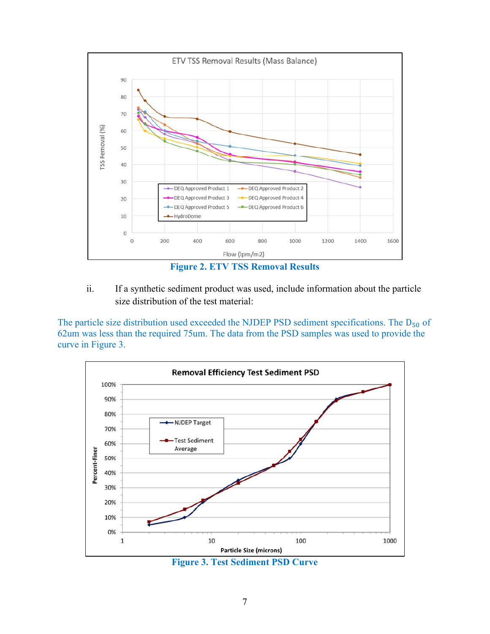

- 
- ii. If a synthetic sediment product was used, include information about the particle size distribution of the test material:

The particle size distribution used exceeded the NJDEP PSD sediment specifications. The  $D_{50}$  of 62um was less than the required 75um. The data from the PSD samples was used to provide the curve in Figure 3.



**Figure 3. Test Sediment PSD Curve**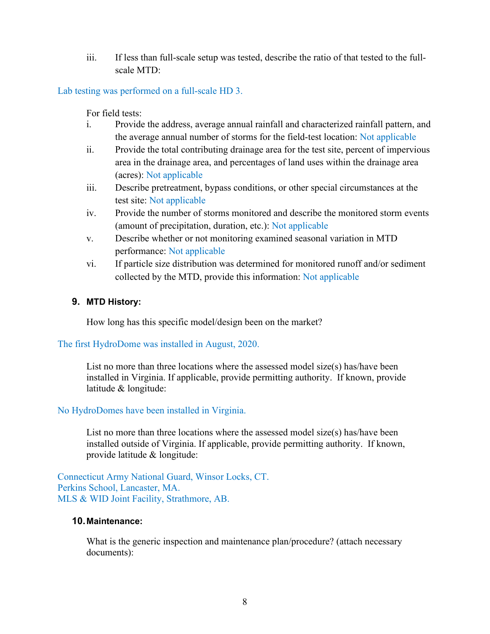iii. If less than full-scale setup was tested, describe the ratio of that tested to the fullscale MTD:

Lab testing was performed on a full-scale HD 3.

For field tests:

- i. Provide the address, average annual rainfall and characterized rainfall pattern, and the average annual number of storms for the field-test location: Not applicable
- ii. Provide the total contributing drainage area for the test site, percent of impervious area in the drainage area, and percentages of land uses within the drainage area (acres): Not applicable
- iii. Describe pretreatment, bypass conditions, or other special circumstances at the test site: Not applicable
- iv. Provide the number of storms monitored and describe the monitored storm events (amount of precipitation, duration, etc.): Not applicable
- v. Describe whether or not monitoring examined seasonal variation in MTD performance: Not applicable
- vi. If particle size distribution was determined for monitored runoff and/or sediment collected by the MTD, provide this information: Not applicable

### **9. MTD History:**

How long has this specific model/design been on the market?

The first HydroDome was installed in August, 2020.

List no more than three locations where the assessed model size(s) has/have been installed in Virginia. If applicable, provide permitting authority. If known, provide latitude & longitude:

### No HydroDomes have been installed in Virginia.

List no more than three locations where the assessed model size(s) has/have been installed outside of Virginia. If applicable, provide permitting authority. If known, provide latitude & longitude:

Connecticut Army National Guard, Winsor Locks, CT. Perkins School, Lancaster, MA. MLS & WID Joint Facility, Strathmore, AB.

#### **10. Maintenance:**

What is the generic inspection and maintenance plan/procedure? (attach necessary documents):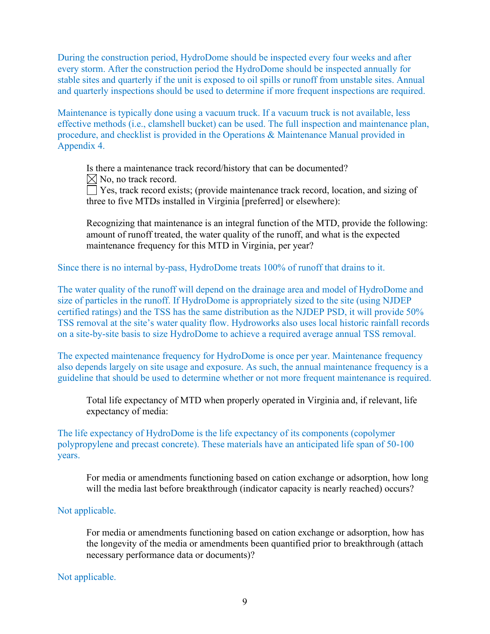During the construction period, HydroDome should be inspected every four weeks and after every storm. After the construction period the HydroDome should be inspected annually for stable sites and quarterly if the unit is exposed to oil spills or runoff from unstable sites. Annual and quarterly inspections should be used to determine if more frequent inspections are required.

Maintenance is typically done using a vacuum truck. If a vacuum truck is not available, less effective methods (i.e., clamshell bucket) can be used. The full inspection and maintenance plan, procedure, and checklist is provided in the Operations & Maintenance Manual provided in Appendix 4.

Is there a maintenance track record/history that can be documented?  $\boxtimes$  No, no track record.

 $\Box$  Yes, track record exists; (provide maintenance track record, location, and sizing of three to five MTDs installed in Virginia [preferred] or elsewhere):

Recognizing that maintenance is an integral function of the MTD, provide the following: amount of runoff treated, the water quality of the runoff, and what is the expected maintenance frequency for this MTD in Virginia, per year?

Since there is no internal by-pass, HydroDome treats 100% of runoff that drains to it.

The water quality of the runoff will depend on the drainage area and model of HydroDome and size of particles in the runoff. If HydroDome is appropriately sized to the site (using NJDEP certified ratings) and the TSS has the same distribution as the NJDEP PSD, it will provide 50% TSS removal at the site's water quality flow. Hydroworks also uses local historic rainfall records on a site-by-site basis to size HydroDome to achieve a required average annual TSS removal.

The expected maintenance frequency for HydroDome is once per year. Maintenance frequency also depends largely on site usage and exposure. As such, the annual maintenance frequency is a guideline that should be used to determine whether or not more frequent maintenance is required.

Total life expectancy of MTD when properly operated in Virginia and, if relevant, life expectancy of media:

The life expectancy of HydroDome is the life expectancy of its components (copolymer polypropylene and precast concrete). These materials have an anticipated life span of 50-100 years.

For media or amendments functioning based on cation exchange or adsorption, how long will the media last before breakthrough (indicator capacity is nearly reached) occurs?

#### Not applicable.

For media or amendments functioning based on cation exchange or adsorption, how has the longevity of the media or amendments been quantified prior to breakthrough (attach necessary performance data or documents)?

#### Not applicable.